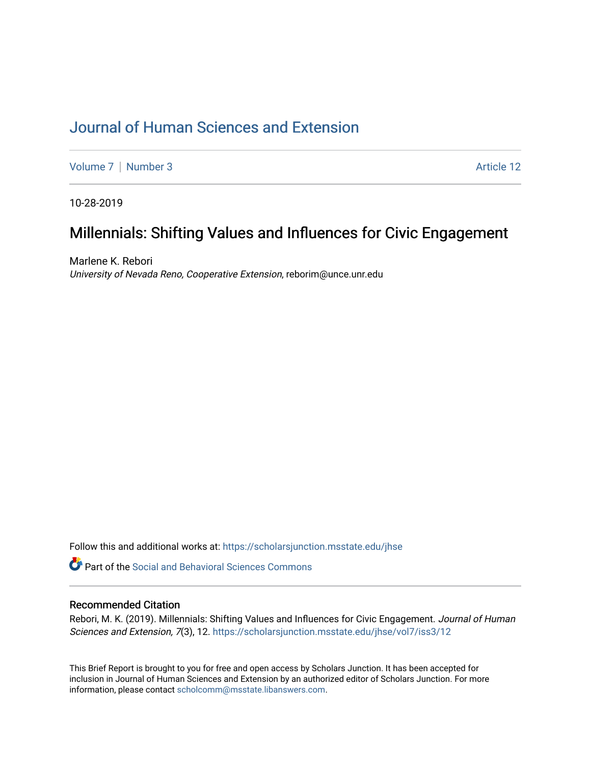# [Journal of Human Sciences and Extension](https://scholarsjunction.msstate.edu/jhse)

[Volume 7](https://scholarsjunction.msstate.edu/jhse/vol7) | [Number 3](https://scholarsjunction.msstate.edu/jhse/vol7/iss3) Article 12

10-28-2019

# Millennials: Shifting Values and Influences for Civic Engagement

Marlene K. Rebori University of Nevada Reno, Cooperative Extension, reborim@unce.unr.edu

Follow this and additional works at: [https://scholarsjunction.msstate.edu/jhse](https://scholarsjunction.msstate.edu/jhse?utm_source=scholarsjunction.msstate.edu%2Fjhse%2Fvol7%2Fiss3%2F12&utm_medium=PDF&utm_campaign=PDFCoverPages)

**C** Part of the Social and Behavioral Sciences Commons

#### Recommended Citation

Rebori, M. K. (2019). Millennials: Shifting Values and Influences for Civic Engagement. Journal of Human Sciences and Extension, 7(3), 12. [https://scholarsjunction.msstate.edu/jhse/vol7/iss3/12](https://scholarsjunction.msstate.edu/jhse/vol7/iss3/12?utm_source=scholarsjunction.msstate.edu%2Fjhse%2Fvol7%2Fiss3%2F12&utm_medium=PDF&utm_campaign=PDFCoverPages)

This Brief Report is brought to you for free and open access by Scholars Junction. It has been accepted for inclusion in Journal of Human Sciences and Extension by an authorized editor of Scholars Junction. For more information, please contact [scholcomm@msstate.libanswers.com](mailto:scholcomm@msstate.libanswers.com).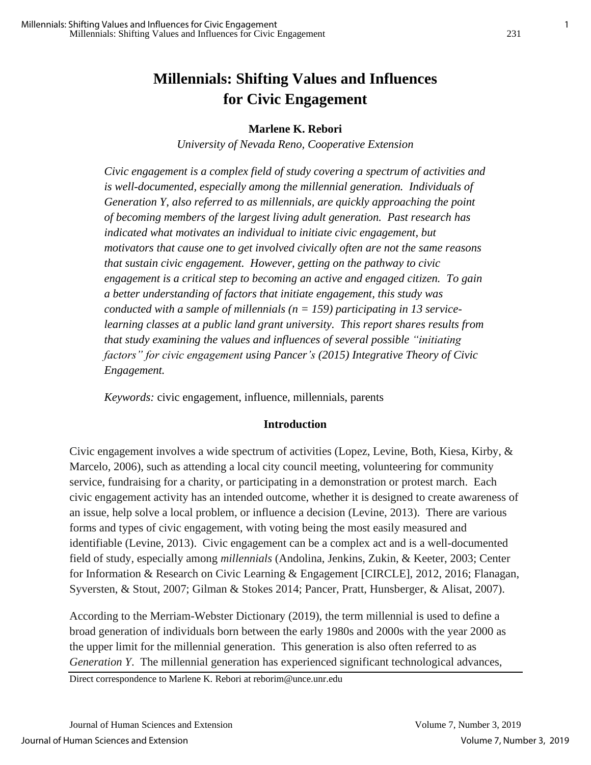# **Millennials: Shifting Values and Influences for Civic Engagement**

#### **Marlene K. Rebori**

*University of Nevada Reno, Cooperative Extension*

*Civic engagement is a complex field of study covering a spectrum of activities and is well-documented, especially among the millennial generation. Individuals of Generation Y, also referred to as millennials, are quickly approaching the point of becoming members of the largest living adult generation. Past research has indicated what motivates an individual to initiate civic engagement, but motivators that cause one to get involved civically often are not the same reasons that sustain civic engagement. However, getting on the pathway to civic engagement is a critical step to becoming an active and engaged citizen. To gain a better understanding of factors that initiate engagement, this study was conducted with a sample of millennials (n = 159) participating in 13 servicelearning classes at a public land grant university. This report shares results from that study examining the values and influences of several possible "initiating factors" for civic engagement using Pancer's (2015) Integrative Theory of Civic Engagement.* 

*Keywords:* civic engagement, influence, millennials, parents

#### **Introduction**

Civic engagement involves a wide spectrum of activities (Lopez, Levine, Both, Kiesa, Kirby, & Marcelo, 2006), such as attending a local city council meeting, volunteering for community service, fundraising for a charity, or participating in a demonstration or protest march. Each civic engagement activity has an intended outcome, whether it is designed to create awareness of an issue, help solve a local problem, or influence a decision (Levine, 2013). There are various forms and types of civic engagement, with voting being the most easily measured and identifiable (Levine, 2013). Civic engagement can be a complex act and is a well-documented field of study, especially among *millennials* (Andolina, Jenkins, Zukin, & Keeter, 2003; Center for Information & Research on Civic Learning & Engagement [CIRCLE], 2012, 2016; Flanagan, Syversten, & Stout, 2007; Gilman & Stokes 2014; Pancer, Pratt, Hunsberger, & Alisat, 2007).

According to the Merriam-Webster Dictionary (2019), the term millennial is used to define a broad generation of individuals born between the early 1980s and 2000s with the year 2000 as the upper limit for the millennial generation. This generation is also often referred to as *Generation Y*. The millennial generation has experienced significant technological advances,

Direct correspondence to Marlene K. Rebori at reborim@unce.unr.edu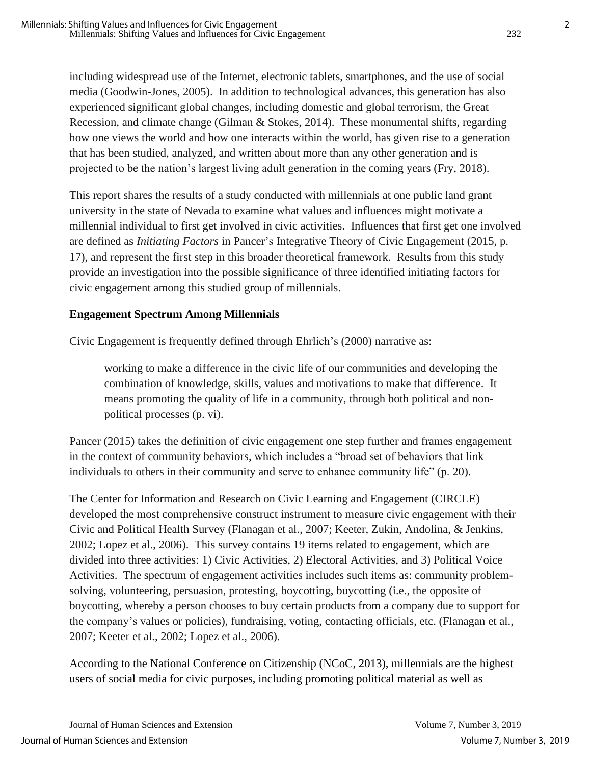including widespread use of the Internet, electronic tablets, smartphones, and the use of social media (Goodwin-Jones, 2005). In addition to technological advances, this generation has also experienced significant global changes, including domestic and global terrorism, the Great Recession, and climate change (Gilman & Stokes, 2014). These monumental shifts, regarding how one views the world and how one interacts within the world, has given rise to a generation that has been studied, analyzed, and written about more than any other generation and is projected to be the nation's largest living adult generation in the coming years (Fry, 2018).

This report shares the results of a study conducted with millennials at one public land grant university in the state of Nevada to examine what values and influences might motivate a millennial individual to first get involved in civic activities. Influences that first get one involved are defined as *Initiating Factors* in Pancer's Integrative Theory of Civic Engagement (2015, p. 17), and represent the first step in this broader theoretical framework. Results from this study provide an investigation into the possible significance of three identified initiating factors for civic engagement among this studied group of millennials.

## **Engagement Spectrum Among Millennials**

Civic Engagement is frequently defined through Ehrlich's (2000) narrative as:

working to make a difference in the civic life of our communities and developing the combination of knowledge, skills, values and motivations to make that difference. It means promoting the quality of life in a community, through both political and nonpolitical processes (p. vi).

Pancer (2015) takes the definition of civic engagement one step further and frames engagement in the context of community behaviors, which includes a "broad set of behaviors that link individuals to others in their community and serve to enhance community life" (p. 20).

The Center for Information and Research on Civic Learning and Engagement (CIRCLE) developed the most comprehensive construct instrument to measure civic engagement with their Civic and Political Health Survey (Flanagan et al., 2007; Keeter, Zukin, Andolina, & Jenkins, 2002; Lopez et al., 2006). This survey contains 19 items related to engagement, which are divided into three activities: 1) Civic Activities, 2) Electoral Activities, and 3) Political Voice Activities. The spectrum of engagement activities includes such items as: community problemsolving, volunteering, persuasion, protesting, boycotting, buycotting (i.e., the opposite of boycotting, whereby a person chooses to buy certain products from a company due to support for the company's values or policies), fundraising, voting, contacting officials, etc. (Flanagan et al., 2007; Keeter et al., 2002; Lopez et al., 2006).

According to the National Conference on Citizenship (NCoC, 2013), millennials are the highest users of social media for civic purposes, including promoting political material as well as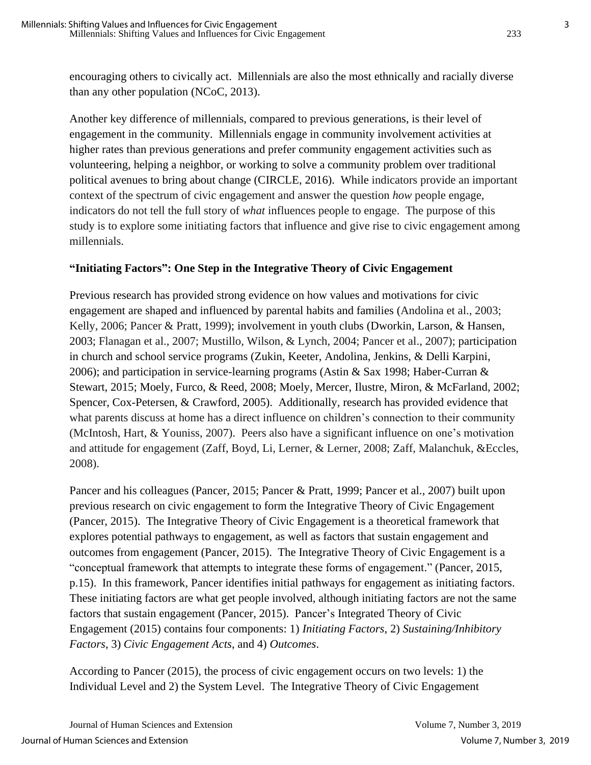encouraging others to civically act. Millennials are also the most ethnically and racially diverse than any other population (NCoC, 2013).

Another key difference of millennials, compared to previous generations, is their level of engagement in the community. Millennials engage in community involvement activities at higher rates than previous generations and prefer community engagement activities such as volunteering, helping a neighbor, or working to solve a community problem over traditional political avenues to bring about change (CIRCLE, 2016). While indicators provide an important context of the spectrum of civic engagement and answer the question *how* people engage, indicators do not tell the full story of *what* influences people to engage. The purpose of this study is to explore some initiating factors that influence and give rise to civic engagement among millennials.

#### **"Initiating Factors": One Step in the Integrative Theory of Civic Engagement**

Previous research has provided strong evidence on how values and motivations for civic engagement are shaped and influenced by parental habits and families (Andolina et al., 2003; Kelly, 2006; Pancer & Pratt, 1999); involvement in youth clubs (Dworkin, Larson, & Hansen, 2003; Flanagan et al., 2007; Mustillo, Wilson, & Lynch, 2004; Pancer et al., 2007); participation in church and school service programs (Zukin, Keeter, Andolina, Jenkins, & Delli Karpini, 2006); and participation in service-learning programs (Astin & Sax 1998; Haber-Curran & Stewart, 2015; Moely, Furco, & Reed, 2008; Moely, Mercer, Ilustre, Miron, & McFarland, 2002; Spencer, Cox-Petersen, & Crawford, 2005). Additionally, research has provided evidence that what parents discuss at home has a direct influence on children's connection to their community (McIntosh, Hart, & Youniss, 2007). Peers also have a significant influence on one's motivation and attitude for engagement (Zaff, Boyd, Li, Lerner, & Lerner, 2008; Zaff, Malanchuk, &Eccles, 2008).

Pancer and his colleagues (Pancer, 2015; Pancer & Pratt, 1999; Pancer et al., 2007) built upon previous research on civic engagement to form the Integrative Theory of Civic Engagement (Pancer, 2015). The Integrative Theory of Civic Engagement is a theoretical framework that explores potential pathways to engagement, as well as factors that sustain engagement and outcomes from engagement (Pancer, 2015). The Integrative Theory of Civic Engagement is a "conceptual framework that attempts to integrate these forms of engagement." (Pancer, 2015, p.15). In this framework, Pancer identifies initial pathways for engagement as initiating factors. These initiating factors are what get people involved, although initiating factors are not the same factors that sustain engagement (Pancer, 2015). Pancer's Integrated Theory of Civic Engagement (2015) contains four components: 1) *Initiating Factors*, 2) *Sustaining/Inhibitory Factors*, 3) *Civic Engagement Acts*, and 4) *Outcomes*.

According to Pancer (2015), the process of civic engagement occurs on two levels: 1) the Individual Level and 2) the System Level. The Integrative Theory of Civic Engagement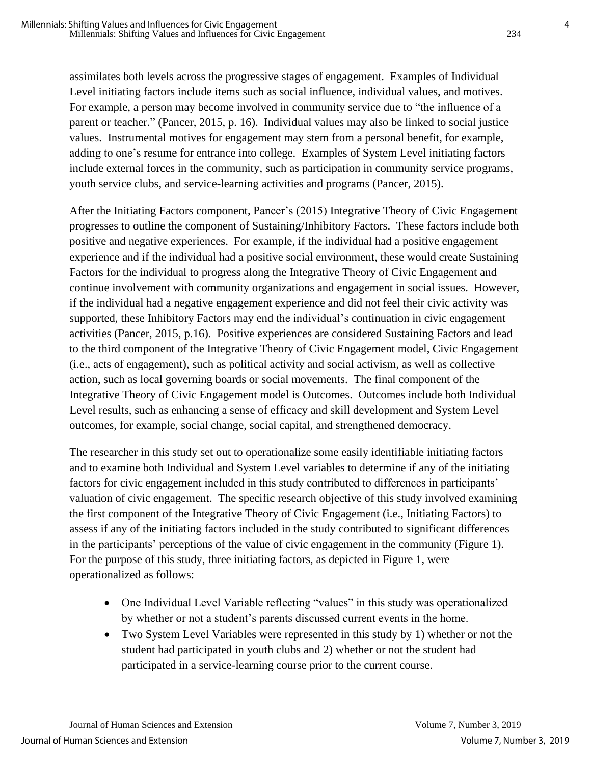assimilates both levels across the progressive stages of engagement. Examples of Individual Level initiating factors include items such as social influence, individual values, and motives. For example, a person may become involved in community service due to "the influence of a parent or teacher." (Pancer, 2015, p. 16). Individual values may also be linked to social justice values. Instrumental motives for engagement may stem from a personal benefit, for example, adding to one's resume for entrance into college. Examples of System Level initiating factors include external forces in the community, such as participation in community service programs, youth service clubs, and service-learning activities and programs (Pancer, 2015).

After the Initiating Factors component, Pancer's (2015) Integrative Theory of Civic Engagement progresses to outline the component of Sustaining/Inhibitory Factors. These factors include both positive and negative experiences. For example, if the individual had a positive engagement experience and if the individual had a positive social environment, these would create Sustaining Factors for the individual to progress along the Integrative Theory of Civic Engagement and continue involvement with community organizations and engagement in social issues. However, if the individual had a negative engagement experience and did not feel their civic activity was supported, these Inhibitory Factors may end the individual's continuation in civic engagement activities (Pancer, 2015, p.16). Positive experiences are considered Sustaining Factors and lead to the third component of the Integrative Theory of Civic Engagement model, Civic Engagement (i.e., acts of engagement), such as political activity and social activism, as well as collective action, such as local governing boards or social movements. The final component of the Integrative Theory of Civic Engagement model is Outcomes. Outcomes include both Individual Level results, such as enhancing a sense of efficacy and skill development and System Level outcomes, for example, social change, social capital, and strengthened democracy.

The researcher in this study set out to operationalize some easily identifiable initiating factors and to examine both Individual and System Level variables to determine if any of the initiating factors for civic engagement included in this study contributed to differences in participants' valuation of civic engagement. The specific research objective of this study involved examining the first component of the Integrative Theory of Civic Engagement (i.e., Initiating Factors) to assess if any of the initiating factors included in the study contributed to significant differences in the participants' perceptions of the value of civic engagement in the community (Figure 1). For the purpose of this study, three initiating factors, as depicted in Figure 1, were operationalized as follows:

- One Individual Level Variable reflecting "values" in this study was operationalized by whether or not a student's parents discussed current events in the home.
- Two System Level Variables were represented in this study by 1) whether or not the student had participated in youth clubs and 2) whether or not the student had participated in a service-learning course prior to the current course.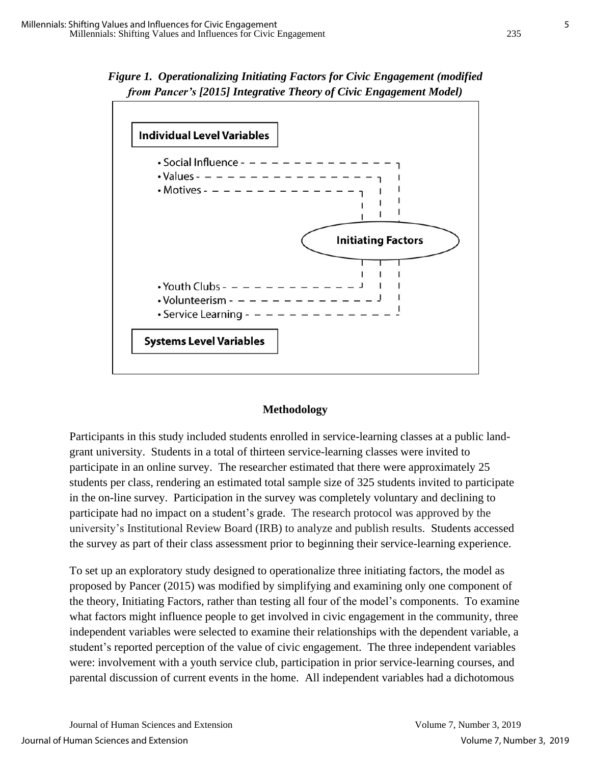



#### **Methodology**

Participants in this study included students enrolled in service-learning classes at a public landgrant university. Students in a total of thirteen service-learning classes were invited to participate in an online survey. The researcher estimated that there were approximately 25 students per class, rendering an estimated total sample size of 325 students invited to participate in the on-line survey. Participation in the survey was completely voluntary and declining to participate had no impact on a student's grade. The research protocol was approved by the university's Institutional Review Board (IRB) to analyze and publish results. Students accessed the survey as part of their class assessment prior to beginning their service-learning experience.

To set up an exploratory study designed to operationalize three initiating factors, the model as proposed by Pancer (2015) was modified by simplifying and examining only one component of the theory, Initiating Factors, rather than testing all four of the model's components. To examine what factors might influence people to get involved in civic engagement in the community, three independent variables were selected to examine their relationships with the dependent variable, a student's reported perception of the value of civic engagement. The three independent variables were: involvement with a youth service club, participation in prior service-learning courses, and parental discussion of current events in the home. All independent variables had a dichotomous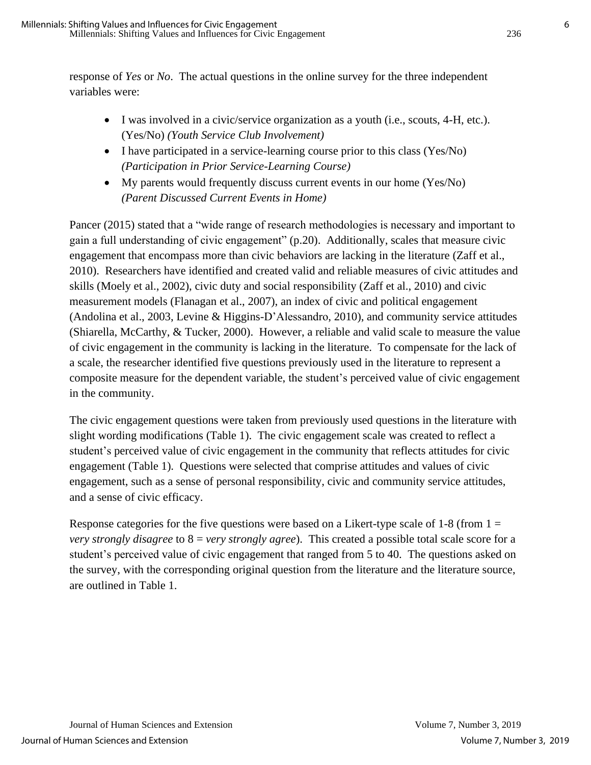response of *Yes* or *No*. The actual questions in the online survey for the three independent variables were:

- I was involved in a civic/service organization as a youth (i.e., scouts, 4-H, etc.). (Yes/No) *(Youth Service Club Involvement)*
- I have participated in a service-learning course prior to this class (Yes/No) *(Participation in Prior Service-Learning Course)*
- My parents would frequently discuss current events in our home (Yes/No) *(Parent Discussed Current Events in Home)*

Pancer (2015) stated that a "wide range of research methodologies is necessary and important to gain a full understanding of civic engagement" (p.20). Additionally, scales that measure civic engagement that encompass more than civic behaviors are lacking in the literature (Zaff et al., 2010). Researchers have identified and created valid and reliable measures of civic attitudes and skills (Moely et al., 2002), civic duty and social responsibility (Zaff et al., 2010) and civic measurement models (Flanagan et al., 2007), an index of civic and political engagement (Andolina et al., 2003, Levine & Higgins-D'Alessandro, 2010), and community service attitudes (Shiarella, McCarthy, & Tucker, 2000). However, a reliable and valid scale to measure the value of civic engagement in the community is lacking in the literature. To compensate for the lack of a scale, the researcher identified five questions previously used in the literature to represent a composite measure for the dependent variable, the student's perceived value of civic engagement in the community.

The civic engagement questions were taken from previously used questions in the literature with slight wording modifications (Table 1). The civic engagement scale was created to reflect a student's perceived value of civic engagement in the community that reflects attitudes for civic engagement (Table 1). Questions were selected that comprise attitudes and values of civic engagement, such as a sense of personal responsibility, civic and community service attitudes, and a sense of civic efficacy.

Response categories for the five questions were based on a Likert-type scale of 1-8 (from  $1 =$ *very strongly disagree* to 8 = *very strongly agree*). This created a possible total scale score for a student's perceived value of civic engagement that ranged from 5 to 40. The questions asked on the survey, with the corresponding original question from the literature and the literature source, are outlined in Table 1.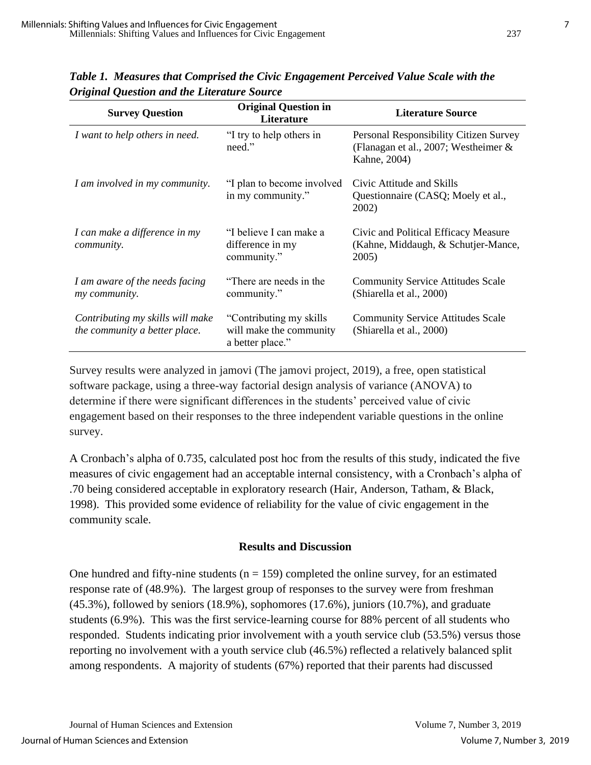| <b>Survey Question</b>                                            | <b>Original Question in</b><br>Literature                               | <b>Literature Source</b>                                                                       |  |
|-------------------------------------------------------------------|-------------------------------------------------------------------------|------------------------------------------------------------------------------------------------|--|
| I want to help others in need.                                    | "I try to help others in<br>need."                                      | Personal Responsibility Citizen Survey<br>(Flanagan et al., 2007; Westheimer &<br>Kahne, 2004) |  |
| I am involved in my community.                                    | "I plan to become involved<br>in my community."                         | Civic Attitude and Skills<br>Questionnaire (CASQ; Moely et al.,<br>2002)                       |  |
| I can make a difference in my<br>community.                       | "I believe I can make a<br>difference in my<br>community."              | Civic and Political Efficacy Measure<br>(Kahne, Middaugh, & Schutjer-Mance,<br>2005)           |  |
| I am aware of the needs facing<br>my community.                   | "There are needs in the<br>community."                                  | <b>Community Service Attitudes Scale</b><br>(Shiarella et al., 2000)                           |  |
| Contributing my skills will make<br>the community a better place. | "Contributing my skills"<br>will make the community<br>a better place." | <b>Community Service Attitudes Scale</b><br>(Shiarella et al., 2000)                           |  |

*Table 1. Measures that Comprised the Civic Engagement Perceived Value Scale with the Original Question and the Literature Source*

Survey results were analyzed in jamovi (The jamovi project, 2019), a free, open statistical software package, using a three-way factorial design analysis of variance (ANOVA) to determine if there were significant differences in the students' perceived value of civic engagement based on their responses to the three independent variable questions in the online survey.

A Cronbach's alpha of 0.735, calculated post hoc from the results of this study, indicated the five measures of civic engagement had an acceptable internal consistency, with a Cronbach's alpha of .70 being considered acceptable in exploratory research (Hair, Anderson, Tatham, & Black, 1998). This provided some evidence of reliability for the value of civic engagement in the community scale.

#### **Results and Discussion**

One hundred and fifty-nine students ( $n = 159$ ) completed the online survey, for an estimated response rate of (48.9%). The largest group of responses to the survey were from freshman (45.3%), followed by seniors (18.9%), sophomores (17.6%), juniors (10.7%), and graduate students (6.9%). This was the first service-learning course for 88% percent of all students who responded. Students indicating prior involvement with a youth service club (53.5%) versus those reporting no involvement with a youth service club (46.5%) reflected a relatively balanced split among respondents. A majority of students (67%) reported that their parents had discussed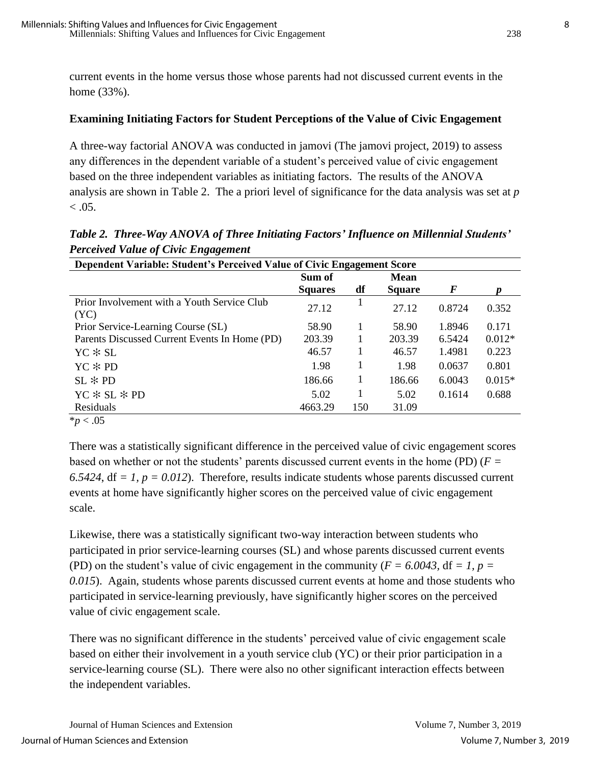current events in the home versus those whose parents had not discussed current events in the home (33%).

#### **Examining Initiating Factors for Student Perceptions of the Value of Civic Engagement**

A three-way factorial ANOVA was conducted in jamovi (The jamovi project, 2019) to assess any differences in the dependent variable of a student's perceived value of civic engagement based on the three independent variables as initiating factors. The results of the ANOVA analysis are shown in Table 2. The a priori level of significance for the data analysis was set at *p*  $< 0.05$ .

*Table 2. Three-Way ANOVA of Three Initiating Factors' Influence on Millennial Students' Perceived Value of Civic Engagement*

| Dependent Variable: Student's Perceived Value of Civic Engagement Score |                |     |               |        |          |  |  |
|-------------------------------------------------------------------------|----------------|-----|---------------|--------|----------|--|--|
|                                                                         | Sum of         |     | <b>Mean</b>   |        |          |  |  |
|                                                                         | <b>Squares</b> | df  | <b>Square</b> | F      |          |  |  |
| Prior Involvement with a Youth Service Club<br>(YC)                     | 27.12          |     | 27.12         | 0.8724 | 0.352    |  |  |
| Prior Service-Learning Course (SL)                                      | 58.90          | 1   | 58.90         | 1.8946 | 0.171    |  |  |
| Parents Discussed Current Events In Home (PD)                           | 203.39         |     | 203.39        | 6.5424 | $0.012*$ |  |  |
| $YC * SL$                                                               | 46.57          | 1   | 46.57         | 1.4981 | 0.223    |  |  |
| $YC * PD$                                                               | 1.98           |     | 1.98          | 0.0637 | 0.801    |  |  |
| $SL * PD$                                                               | 186.66         |     | 186.66        | 6.0043 | $0.015*$ |  |  |
| $YC * SL * PD$                                                          | 5.02           |     | 5.02          | 0.1614 | 0.688    |  |  |
| Residuals                                                               | 4663.29        | 150 | 31.09         |        |          |  |  |
| $\sim$ $\sim$ $\sim$                                                    |                |     |               |        |          |  |  |

 $*_{p}$  < .05

There was a statistically significant difference in the perceived value of civic engagement scores based on whether or not the students' parents discussed current events in the home (PD) (*F =* 6.5424,  $df = 1$ ,  $p = 0.012$ ). Therefore, results indicate students whose parents discussed current events at home have significantly higher scores on the perceived value of civic engagement scale.

Likewise, there was a statistically significant two-way interaction between students who participated in prior service-learning courses (SL) and whose parents discussed current events (PD) on the student's value of civic engagement in the community ( $F = 6.0043$ , df = 1, p = *0.015*). Again, students whose parents discussed current events at home and those students who participated in service-learning previously, have significantly higher scores on the perceived value of civic engagement scale.

There was no significant difference in the students' perceived value of civic engagement scale based on either their involvement in a youth service club (YC) or their prior participation in a service-learning course (SL). There were also no other significant interaction effects between the independent variables.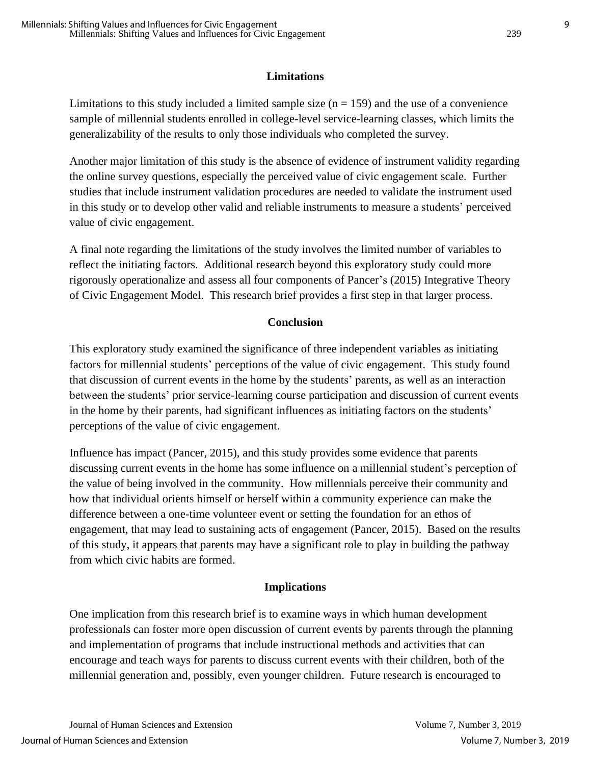### **Limitations**

Limitations to this study included a limited sample size  $(n = 159)$  and the use of a convenience sample of millennial students enrolled in college-level service-learning classes, which limits the generalizability of the results to only those individuals who completed the survey.

Another major limitation of this study is the absence of evidence of instrument validity regarding the online survey questions, especially the perceived value of civic engagement scale. Further studies that include instrument validation procedures are needed to validate the instrument used in this study or to develop other valid and reliable instruments to measure a students' perceived value of civic engagement.

A final note regarding the limitations of the study involves the limited number of variables to reflect the initiating factors. Additional research beyond this exploratory study could more rigorously operationalize and assess all four components of Pancer's (2015) Integrative Theory of Civic Engagement Model. This research brief provides a first step in that larger process.

### **Conclusion**

This exploratory study examined the significance of three independent variables as initiating factors for millennial students' perceptions of the value of civic engagement. This study found that discussion of current events in the home by the students' parents, as well as an interaction between the students' prior service-learning course participation and discussion of current events in the home by their parents, had significant influences as initiating factors on the students' perceptions of the value of civic engagement.

Influence has impact (Pancer, 2015), and this study provides some evidence that parents discussing current events in the home has some influence on a millennial student's perception of the value of being involved in the community. How millennials perceive their community and how that individual orients himself or herself within a community experience can make the difference between a one-time volunteer event or setting the foundation for an ethos of engagement, that may lead to sustaining acts of engagement (Pancer, 2015). Based on the results of this study, it appears that parents may have a significant role to play in building the pathway from which civic habits are formed.

## **Implications**

One implication from this research brief is to examine ways in which human development professionals can foster more open discussion of current events by parents through the planning and implementation of programs that include instructional methods and activities that can encourage and teach ways for parents to discuss current events with their children, both of the millennial generation and, possibly, even younger children. Future research is encouraged to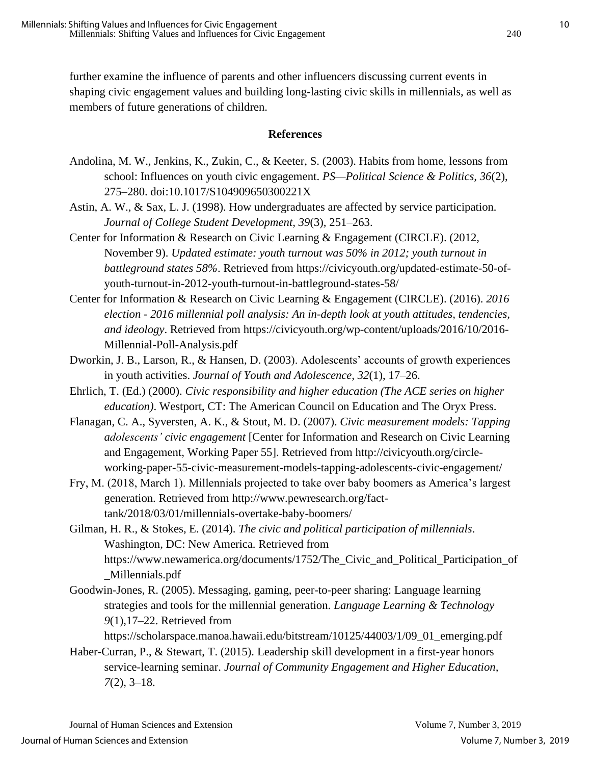further examine the influence of parents and other influencers discussing current events in shaping civic engagement values and building long-lasting civic skills in millennials, as well as members of future generations of children.

#### **References**

- Andolina, M. W., Jenkins, K., Zukin, C., & Keeter, S. (2003). Habits from home, lessons from school: Influences on youth civic engagement. *PS—Political Science & Politics, 36*(2), 275–280. doi:10.1017/S104909650300221X
- Astin, A. W., & Sax, L. J. (1998). How undergraduates are affected by service participation*. Journal of College Student Development, 39*(3)*,* 251–263.
- Center for Information & Research on Civic Learning & Engagement (CIRCLE). (2012, November 9). *Updated estimate: youth turnout was 50% in 2012; youth turnout in battleground states 58%*. Retrieved from https://civicyouth.org/updated-estimate-50-ofyouth-turnout-in-2012-youth-turnout-in-battleground-states-58/
- Center for Information & Research on Civic Learning & Engagement (CIRCLE). (2016). *2016 election - 2016 millennial poll analysis: An in-depth look at youth attitudes, tendencies, and ideology*. Retrieved from https://civicyouth.org/wp-content/uploads/2016/10/2016- Millennial-Poll-Analysis.pdf
- Dworkin, J. B., Larson, R., & Hansen, D. (2003). Adolescents' accounts of growth experiences in youth activities. *Journal of Youth and Adolescence, 32*(1), 17–26.
- Ehrlich, T. (Ed.) (2000). *Civic responsibility and higher education (The ACE series on higher education)*. Westport, CT: The American Council on Education and The Oryx Press.
- Flanagan, C. A., Syversten, A. K., & Stout, M. D. (2007). *Civic measurement models: Tapping adolescents' civic engagement* [Center for Information and Research on Civic Learning and Engagement, Working Paper 55]. Retrieved from http://civicyouth.org/circleworking-paper-55-civic-measurement-models-tapping-adolescents-civic-engagement/
- Fry, M. (2018, March 1). Millennials projected to take over baby boomers as America's largest generation. Retrieved from http://www.pewresearch.org/facttank/2018/03/01/millennials-overtake-baby-boomers/
- Gilman, H. R., & Stokes, E. (2014). *The civic and political participation of millennials*. Washington, DC: New America. Retrieved from https://www.newamerica.org/documents/1752/The\_Civic\_and\_Political\_Participation\_of \_Millennials.pdf
- Goodwin-Jones, R. (2005). Messaging, gaming, peer-to-peer sharing: Language learning strategies and tools for the millennial generation. *Language Learning & Technology 9*(1),17–22. Retrieved from

https://scholarspace.manoa.hawaii.edu/bitstream/10125/44003/1/09\_01\_emerging.pdf

Haber-Curran, P., & Stewart, T. (2015). Leadership skill development in a first-year honors service-learning seminar. *Journal of Community Engagement and Higher Education, 7*(2), 3–18.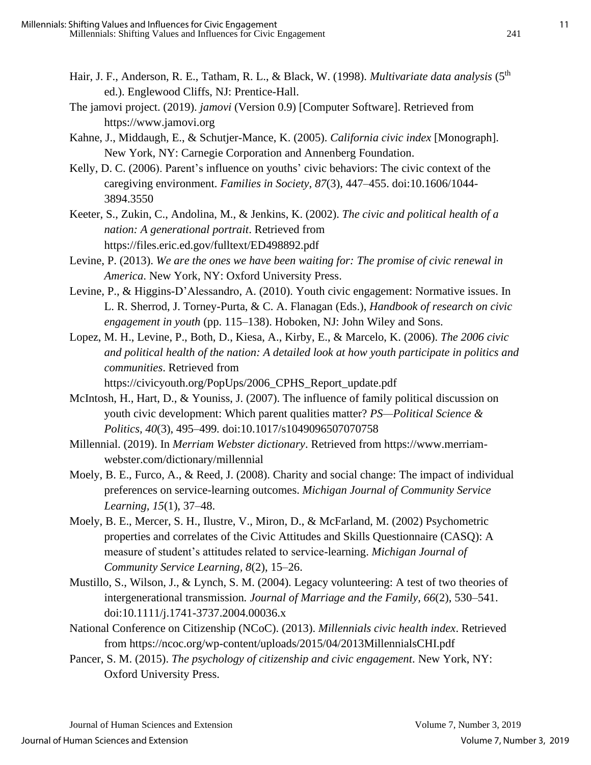- Hair, J. F., Anderson, R. E., Tatham, R. L., & Black, W. (1998). *Multivariate data analysis* (5<sup>th</sup> ed.). Englewood Cliffs, NJ: Prentice-Hall.
- The jamovi project. (2019). *jamovi* (Version 0.9) [Computer Software]. Retrieved from https://www.jamovi.org
- Kahne, J., Middaugh, E., & Schutjer-Mance, K. (2005). *California civic index* [Monograph]. New York, NY: Carnegie Corporation and Annenberg Foundation.
- Kelly, D. C. (2006). Parent's influence on youths' civic behaviors: The civic context of the caregiving environment. *Families in Society, 87*(3), 447–455. doi:10.1606/1044- 3894.3550
- Keeter, S., Zukin, C., Andolina, M., & Jenkins, K. (2002). *The civic and political health of a nation: A generational portrait*. Retrieved from https://files.eric.ed.gov/fulltext/ED498892.pdf
- Levine, P. (2013). *We are the ones we have been waiting for: The promise of civic renewal in America*. New York, NY: Oxford University Press.
- Levine, P., & Higgins-D'Alessandro, A. (2010). Youth civic engagement: Normative issues. In L. R. Sherrod, J. Torney-Purta, & C. A. Flanagan (Eds.), *Handbook of research on civic engagement in youth* (pp. 115–138). Hoboken, NJ: John Wiley and Sons.
- Lopez, M. H., Levine, P., Both, D., Kiesa, A., Kirby, E., & Marcelo, K. (2006). *The 2006 civic and political health of the nation: A detailed look at how youth participate in politics and communities*. Retrieved from

https://civicyouth.org/PopUps/2006 CPHS Report update.pdf

- McIntosh, H., Hart, D., & Youniss, J. (2007). The influence of family political discussion on youth civic development: Which parent qualities matter? *PS—Political Science & Politics, 40*(3), 495–499*.* doi:10.1017/s1049096507070758
- Millennial. (2019). In *Merriam Webster dictionary*. Retrieved from https://www.merriamwebster.com/dictionary/millennial
- Moely, B. E., Furco, A., & Reed, J. (2008). Charity and social change: The impact of individual preferences on service-learning outcomes. *Michigan Journal of Community Service Learning, 15*(1), 37–48.
- Moely, B. E., Mercer, S. H., Ilustre, V., Miron, D., & McFarland, M. (2002) Psychometric properties and correlates of the Civic Attitudes and Skills Questionnaire (CASQ): A measure of student's attitudes related to service-learning. *Michigan Journal of Community Service Learning, 8*(2), 15–26.
- Mustillo, S., Wilson, J., & Lynch, S. M. (2004). Legacy volunteering: A test of two theories of intergenerational transmission*. Journal of Marriage and the Family, 66*(2), 530–541. doi:10.1111/j.1741-3737.2004.00036.x
- National Conference on Citizenship (NCoC). (2013). *Millennials civic health index*. Retrieved from https://ncoc.org/wp-content/uploads/2015/04/2013MillennialsCHI.pdf
- Pancer, S. M. (2015). *The psychology of citizenship and civic engagement*. New York, NY: Oxford University Press.